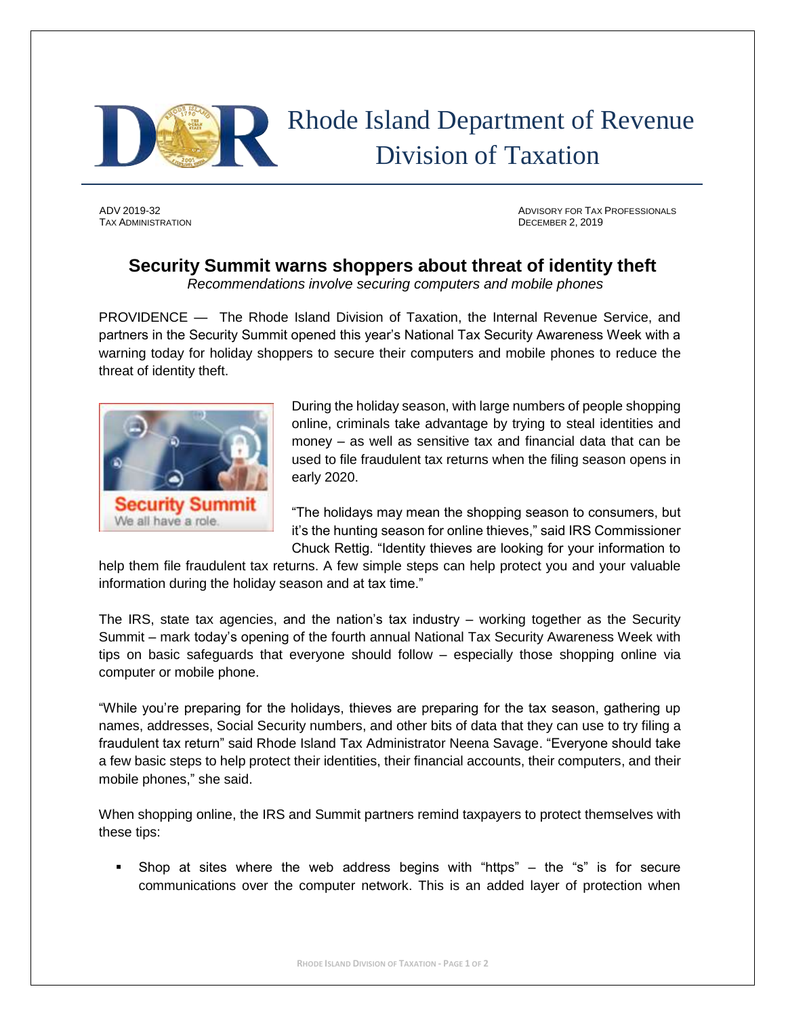

## Rhode Island Department of Revenue Division of Taxation

TAX ADMINISTRATION DECEMBER 2, 2019

ADV 2019-32 ADVISORY FOR TAX PROFESSIONALS

## **Security Summit warns shoppers about threat of identity theft**

*Recommendations involve securing computers and mobile phones*

PROVIDENCE — The Rhode Island Division of Taxation, the Internal Revenue Service, and partners in the Security Summit opened this year's National Tax Security Awareness Week with a warning today for holiday shoppers to secure their computers and mobile phones to reduce the threat of identity theft.



During the holiday season, with large numbers of people shopping online, criminals take advantage by trying to steal identities and money – as well as sensitive tax and financial data that can be used to file fraudulent tax returns when the filing season opens in early 2020.

"The holidays may mean the shopping season to consumers, but it's the hunting season for online thieves," said IRS Commissioner Chuck Rettig. "Identity thieves are looking for your information to

help them file fraudulent tax returns. A few simple steps can help protect you and your valuable information during the holiday season and at tax time."

The IRS, state tax agencies, and the nation's tax industry – working together as the Security Summit – mark today's opening of the fourth annual National Tax Security Awareness Week with tips on basic safeguards that everyone should follow – especially those shopping online via computer or mobile phone.

"While you're preparing for the holidays, thieves are preparing for the tax season, gathering up names, addresses, Social Security numbers, and other bits of data that they can use to try filing a fraudulent tax return" said Rhode Island Tax Administrator Neena Savage. "Everyone should take a few basic steps to help protect their identities, their financial accounts, their computers, and their mobile phones," she said.

When shopping online, the IRS and Summit partners remind taxpayers to protect themselves with these tips:

Shop at sites where the web address begins with "https"  $-$  the "s" is for secure communications over the computer network. This is an added layer of protection when